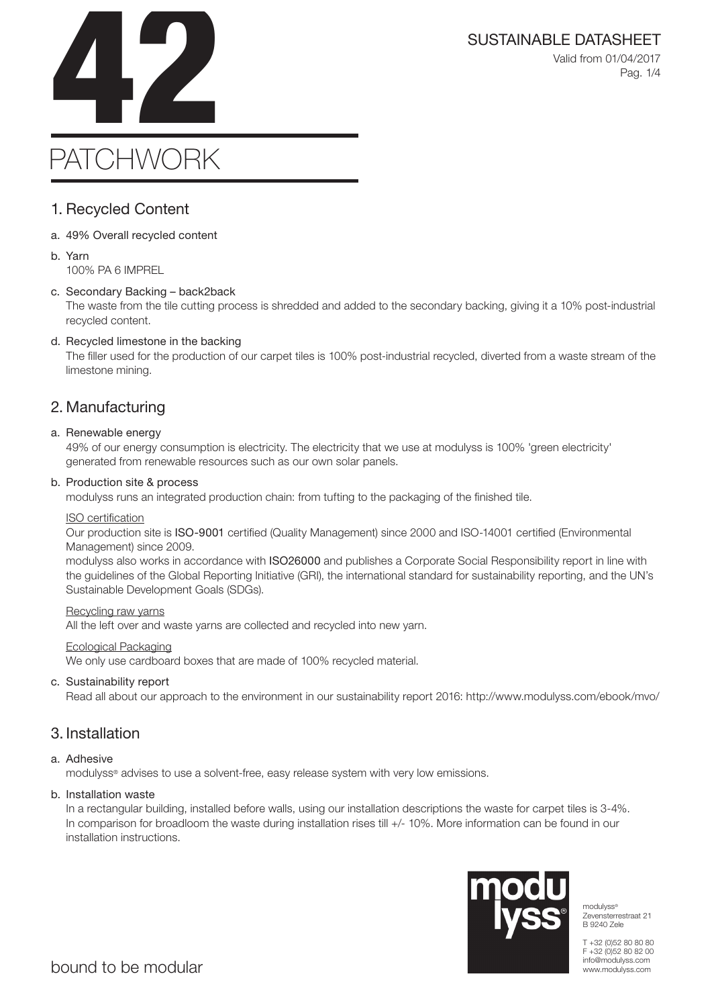SUSTAINABLE DATASHEET<br>Valid from 01/04/2017<br>Pag. 1/4 Valid from 01/04/2017 Pag. 1/4

# PATCHWORK

### 1. Recycled Content

- a. 49% Overall recycled content
- b. Yarn 100% PA 6 IMPREL

### c. Secondary Backing – back2back

The waste from the tile cutting process is shredded and added to the secondary backing, giving it a 10% post-industrial recycled content.

### d. Recycled limestone in the backing

The filler used for the production of our carpet tiles is 100% post-industrial recycled, diverted from a waste stream of the limestone mining.

### 2. Manufacturing

### a. Renewable energy

49% of our energy consumption is electricity. The electricity that we use at modulyss is 100% 'green electricity' generated from renewable resources such as our own solar panels.

### b. Production site & process

modulyss runs an integrated production chain: from tufting to the packaging of the finished tile.

### ISO certification

Our production site is ISO-9001 certified (Quality Management) since 2000 and ISO-14001 certified (Environmental Management) since 2009.

modulyss also works in accordance with ISO26000 and publishes a Corporate Social Responsibility report in line with the guidelines of the Global Reporting Initiative (GRI), the international standard for sustainability reporting, and the UN's Sustainable Development Goals (SDGs).

### Recycling raw yarns

All the left over and waste yarns are collected and recycled into new yarn.

### Ecological Packaging

We only use cardboard boxes that are made of 100% recycled material.

### c. Sustainability report

Read all about our approach to the environment in our sustainability report 2016: http://www.modulyss.com/ebook/mvo/

### 3. Installation

### a. Adhesive

modulyss® advises to use a solvent-free, easy release system with very low emissions.

### b. Installation waste

In a rectangular building, installed before walls, using our installation descriptions the waste for carpet tiles is 3-4%. In comparison for broadloom the waste during installation rises till +/- 10%. More information can be found in our installation instructions.



modulyss® Zevensterrestraat 21 B 9240 Zele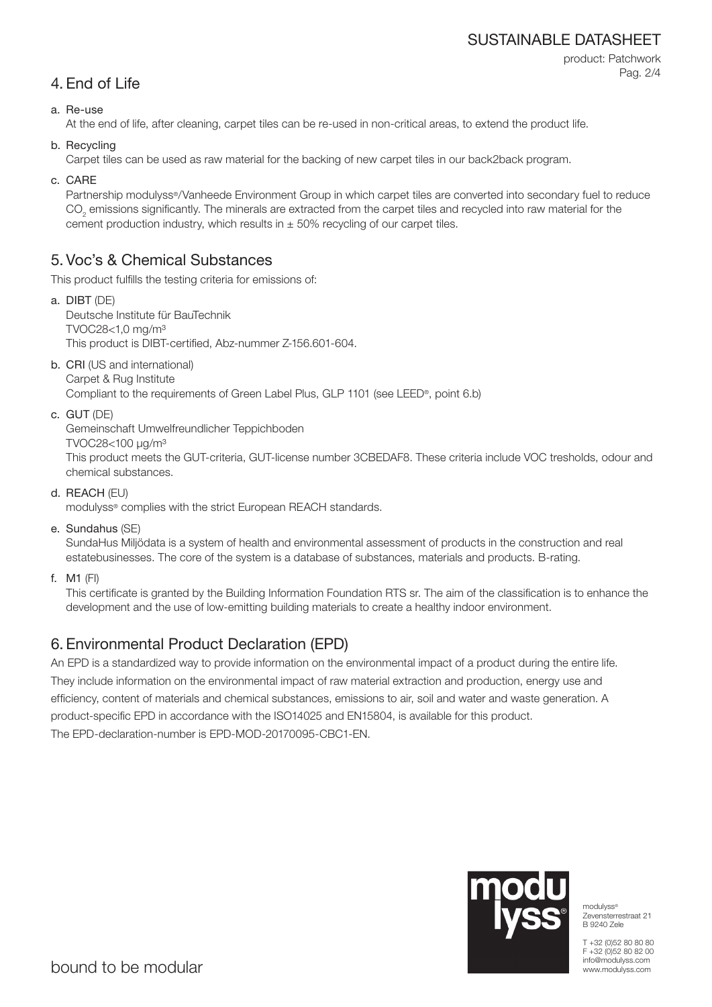### SUSTAINABLE DATASHEET

```
product: Patchwork
Pag. 2/4
```
### 4. End of Life

### a. Re-use

At the end of life, after cleaning, carpet tiles can be re-used in non-critical areas, to extend the product life.

b. Recycling

Carpet tiles can be used as raw material for the backing of new carpet tiles in our back2back program.

c. CARE

Partnership modulyss®/Vanheede Environment Group in which carpet tiles are converted into secondary fuel to reduce  $\mathrm{CO}_2$  emissions significantly. The minerals are extracted from the carpet tiles and recycled into raw material for the cement production industry, which results in  $\pm$  50% recycling of our carpet tiles.

### 5. Voc's & Chemical Substances

This product fulfills the testing criteria for emissions of:

- a. DIBT (DE) Deutsche Institute für BauTechnik TVOC28<1,0 mg/m³ This product is DIBT-certified, Abz-nummer Z-156.601-604.
- b. CRI (US and international) Carpet & Rug Institute

Compliant to the requirements of Green Label Plus, GLP 1101 (see LEED®, point 6.b)

c. GUT (DE)

Gemeinschaft Umwelfreundlicher Teppichboden

TVOC28<100 μg/m³

This product meets the GUT-criteria, GUT-license number 3CBEDAF8. These criteria include VOC tresholds, odour and chemical substances.

d. REACH (EU)

modulyss® complies with the strict European REACH standards.

e. Sundahus (SE)

SundaHus Miljödata is a system of health and environmental assessment of products in the construction and real estatebusinesses. The core of the system is a database of substances, materials and products. B-rating.

f. M1 (FI)

This certificate is granted by the Building Information Foundation RTS sr. The aim of the classification is to enhance the development and the use of low-emitting building materials to create a healthy indoor environment.

## 6. Environmental Product Declaration (EPD)

An EPD is a standardized way to provide information on the environmental impact of a product during the entire life. They include information on the environmental impact of raw material extraction and production, energy use and efficiency, content of materials and chemical substances, emissions to air, soil and water and waste generation. A product-specific EPD in accordance with the ISO14025 and EN15804, is available for this product. The EPD-declaration-number is EPD-MOD-20170095-CBC1-EN.



modulyss® Zevensterrestraat 21 B 9240 Zele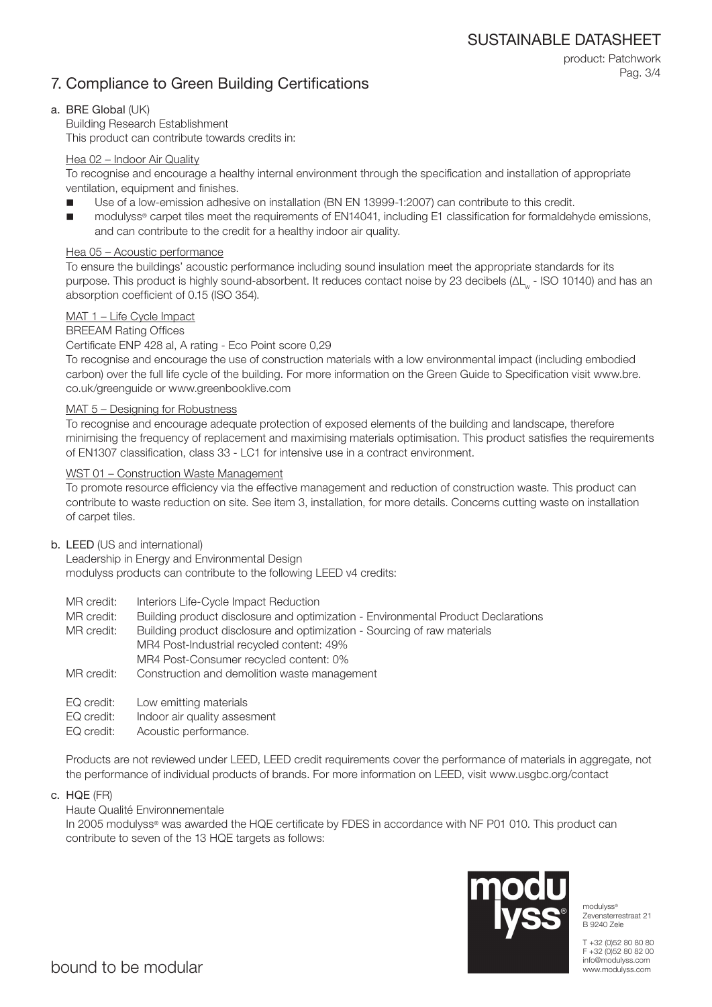SUSTAINABLE DATASHEET

### 7. Compliance to Green Building Certifications

product: Patchwork Pag. 3/4

### a. BRE Global (UK)

Building Research Establishment This product can contribute towards credits in:

### Hea 02 – Indoor Air Quality

To recognise and encourage a healthy internal environment through the specification and installation of appropriate ventilation, equipment and finishes.

- Use of a low-emission adhesive on installation (BN EN 13999-1:2007) can contribute to this credit.
- modulyss® carpet tiles meet the requirements of EN14041, including E1 classification for formaldehyde emissions, and can contribute to the credit for a healthy indoor air quality.

### Hea 05 – Acoustic performance

To ensure the buildings' acoustic performance including sound insulation meet the appropriate standards for its purpose. This product is highly sound-absorbent. It reduces contact noise by 23 decibels (ΔL<sub>w</sub> - ISO 10140) and has an absorption coefficient of 0.15 (ISO 354).

### MAT 1 – Life Cycle Impact

### BREEAM Rating Offices

Certificate ENP 428 al, A rating - Eco Point score 0,29

To recognise and encourage the use of construction materials with a low environmental impact (including embodied carbon) over the full life cycle of the building. For more information on the Green Guide to Specification visit www.bre. co.uk/greenguide or www.greenbooklive.com

### MAT 5 – Designing for Robustness

To recognise and encourage adequate protection of exposed elements of the building and landscape, therefore minimising the frequency of replacement and maximising materials optimisation. This product satisfies the requirements of EN1307 classification, class 33 - LC1 for intensive use in a contract environment.

### WST 01 – Construction Waste Management

To promote resource efficiency via the effective management and reduction of construction waste. This product can contribute to waste reduction on site. See item 3, installation, for more details. Concerns cutting waste on installation of carpet tiles.

### b. LEED (US and international)

Leadership in Energy and Environmental Design modulyss products can contribute to the following LEED v4 credits:

- MR credit: Interiors Life-Cycle Impact Reduction
- MR credit: Building product disclosure and optimization Environmental Product Declarations

MR credit: Building product disclosure and optimization - Sourcing of raw materials MR4 Post-Industrial recycled content: 49% MR4 Post-Consumer recycled content: 0%

- MR credit: Construction and demolition waste management
- EQ credit: Low emitting materials
- EQ credit: Indoor air quality assesment
- EQ credit: Acoustic performance.

Products are not reviewed under LEED, LEED credit requirements cover the performance of materials in aggregate, not the performance of individual products of brands. For more information on LEED, visit www.usgbc.org/contact

c. HQE (FR)

### Haute Qualité Environnementale

In 2005 modulyss® was awarded the HQE certificate by FDES in accordance with NF P01 010. This product can contribute to seven of the 13 HQE targets as follows:



modulyss<sup>®</sup> Zevensterrestraat 21 B 9240 Zele